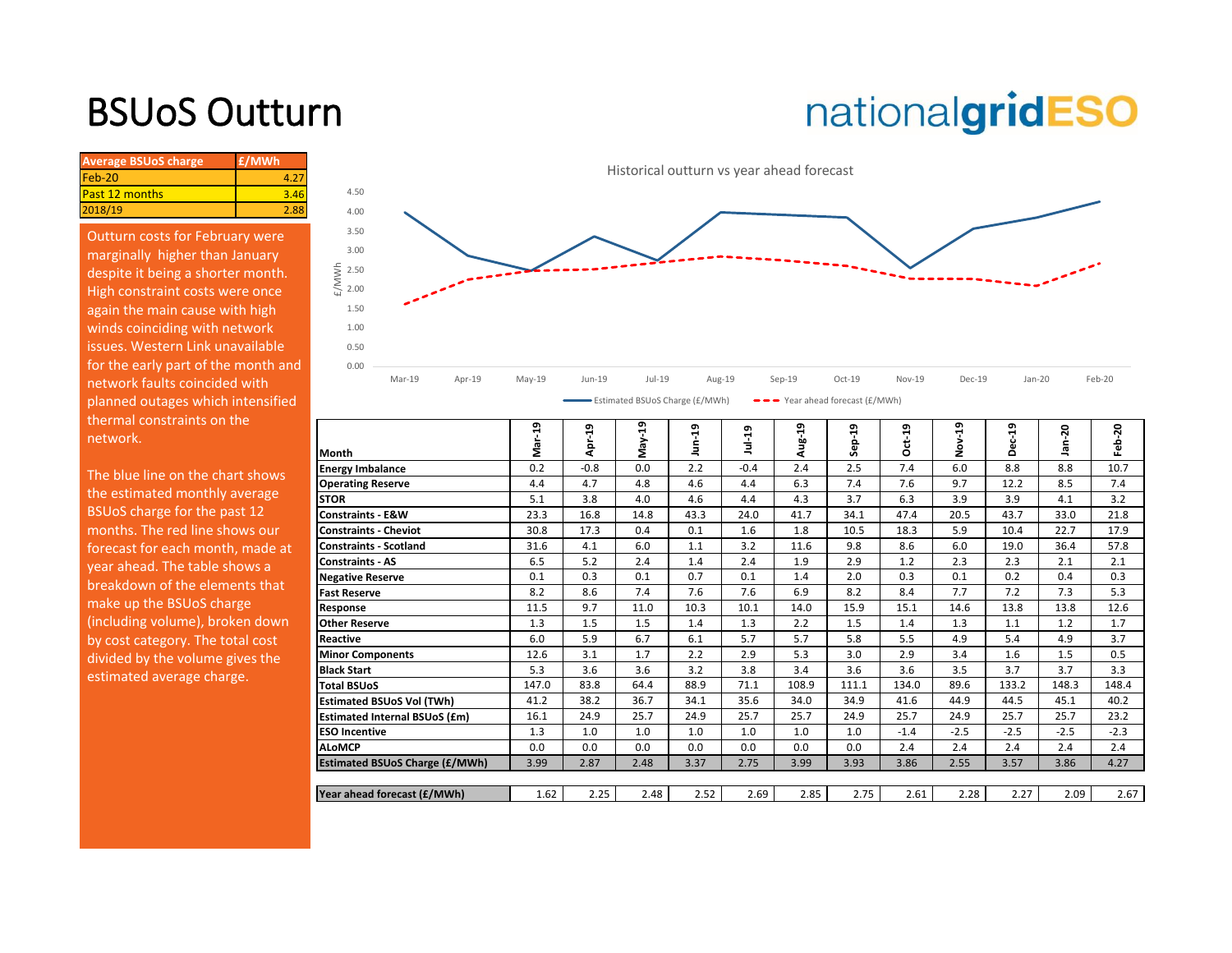# BSUoS Outturn

# nationalgridESO

| <b>Average BSUoS charge</b> | £/MWh |  |
|-----------------------------|-------|--|
| Feb-20                      |       |  |
| <b>Past 12 months</b>       | 3.46  |  |
| 2018/19                     | 2.88  |  |
|                             |       |  |

Outturn costs for February were marginally higher than January despite it being a shorter month. High constraint costs were once again the main cause with high winds coinciding with network issues. Western Link unavailable for the early part of the month and network faults coincided with planned outages which intensified thermal constraints on the network.



| thermal constraints on the<br>network. | Month                                 | ą<br>Mar- | ដ់<br>ă٩ | ន្ទ<br>May- | ఇ<br>Б | $1ul-19$ | Aug-19 | 29<br>Sep. | $Oct-19$ | ភូ<br>ş | Dec-19 | ន<br>ത | Feb-20 |
|----------------------------------------|---------------------------------------|-----------|----------|-------------|--------|----------|--------|------------|----------|---------|--------|--------|--------|
| The blue line on the chart shows       | <b>Energy Imbalance</b>               | 0.2       | $-0.8$   | 0.0         | 2.2    | $-0.4$   | 2.4    | 2.5        | 7.4      | 6.0     | 8.8    | 8.8    | 10.7   |
|                                        | <b>Operating Reserve</b>              | 4.4       | 4.7      | 4.8         | 4.6    | 4.4      | 6.3    | 7.4        | 7.6      | 9.7     | 12.2   | 8.5    | 7.4    |
| the estimated monthly average          | <b>STOR</b>                           | 5.1       | 3.8      | 4.0         | 4.6    | 4.4      | 4.3    | 3.7        | 6.3      | 3.9     | 3.9    | 4.1    | 3.2    |
| BSUoS charge for the past 12           | <b>Constraints - E&amp;W</b>          | 23.3      | 16.8     | 14.8        | 43.3   | 24.0     | 41.7   | 34.1       | 47.4     | 20.5    | 43.7   | 33.0   | 21.8   |
| months. The red line shows our         | <b>Constraints - Cheviot</b>          | 30.8      | 17.3     | 0.4         | 0.1    | 1.6      | 1.8    | 10.5       | 18.3     | 5.9     | 10.4   | 22.7   | 17.9   |
| forecast for each month, made at       | <b>Constraints - Scotland</b>         | 31.6      | 4.1      | 6.0         | 1.1    | 3.2      | 11.6   | 9.8        | 8.6      | 6.0     | 19.0   | 36.4   | 57.8   |
| year ahead. The table shows a          | <b>Constraints - AS</b>               | 6.5       | 5.2      | 2.4         | 1.4    | 2.4      | 1.9    | 2.9        | 1.2      | 2.3     | 2.3    | 2.1    | 2.1    |
| breakdown of the elements that         | <b>Negative Reserve</b>               | 0.1       | 0.3      | 0.1         | 0.7    | 0.1      | 1.4    | 2.0        | 0.3      | 0.1     | 0.2    | 0.4    | 0.3    |
|                                        | <b>Fast Reserve</b>                   | 8.2       | 8.6      | 7.4         | 7.6    | 7.6      | 6.9    | 8.2        | 8.4      | 7.7     | 7.2    | 7.3    | 5.3    |
| make up the BSUoS charge               | Response                              | 11.5      | 9.7      | 11.0        | 10.3   | 10.1     | 14.0   | 15.9       | 15.1     | 14.6    | 13.8   | 13.8   | 12.6   |
| (including volume), broken down        | <b>Other Reserve</b>                  | 1.3       | 1.5      | 1.5         | 1.4    | 1.3      | 2.2    | 1.5        | 1.4      | 1.3     | 1.1    | 1.2    | 1.7    |
| by cost category. The total cost       | Reactive                              | 6.0       | 5.9      | 6.7         | 6.1    | 5.7      | 5.7    | 5.8        | 5.5      | 4.9     | 5.4    | 4.9    | 3.7    |
| divided by the volume gives the        | <b>Minor Components</b>               | 12.6      | 3.1      | 1.7         | 2.2    | 2.9      | 5.3    | 3.0        | 2.9      | 3.4     | 1.6    | 1.5    | 0.5    |
| estimated average charge.              | <b>Black Start</b>                    | 5.3       | 3.6      | 3.6         | 3.2    | 3.8      | 3.4    | 3.6        | 3.6      | 3.5     | 3.7    | 3.7    | 3.3    |
|                                        | <b>Total BSUoS</b>                    | 147.0     | 83.8     | 64.4        | 88.9   | 71.1     | 108.9  | 111.1      | 134.0    | 89.6    | 133.2  | 148.3  | 148.4  |
|                                        | Estimated BSUoS Vol (TWh)             | 41.2      | 38.2     | 36.7        | 34.1   | 35.6     | 34.0   | 34.9       | 41.6     | 44.9    | 44.5   | 45.1   | 40.2   |
|                                        | <b>Estimated Internal BSUoS (£m)</b>  | 16.1      | 24.9     | 25.7        | 24.9   | 25.7     | 25.7   | 24.9       | 25.7     | 24.9    | 25.7   | 25.7   | 23.2   |
|                                        | <b>ESO Incentive</b>                  | 1.3       | 1.0      | 1.0         | 1.0    | 1.0      | 1.0    | 1.0        | $-1.4$   | $-2.5$  | $-2.5$ | $-2.5$ | $-2.3$ |
|                                        | <b>ALoMCP</b>                         | 0.0       | 0.0      | 0.0         | 0.0    | 0.0      | 0.0    | 0.0        | 2.4      | 2.4     | 2.4    | 2.4    | 2.4    |
|                                        | <b>Estimated BSUoS Charge (£/MWh)</b> | 3.99      | 2.87     | 2.48        | 3.37   | 2.75     | 3.99   | 3.93       | 3.86     | 2.55    | 3.57   | 3.86   | 4.27   |
|                                        |                                       |           |          |             |        |          |        |            |          |         |        |        |        |
|                                        | Year ahead forecast (£/MWh)           | 1.62      | 2.25     | 2.48        | 2.52   | 2.69     | 2.85   | 2.75       | 2.61     | 2.28    | 2.27   | 2.09   | 2.67   |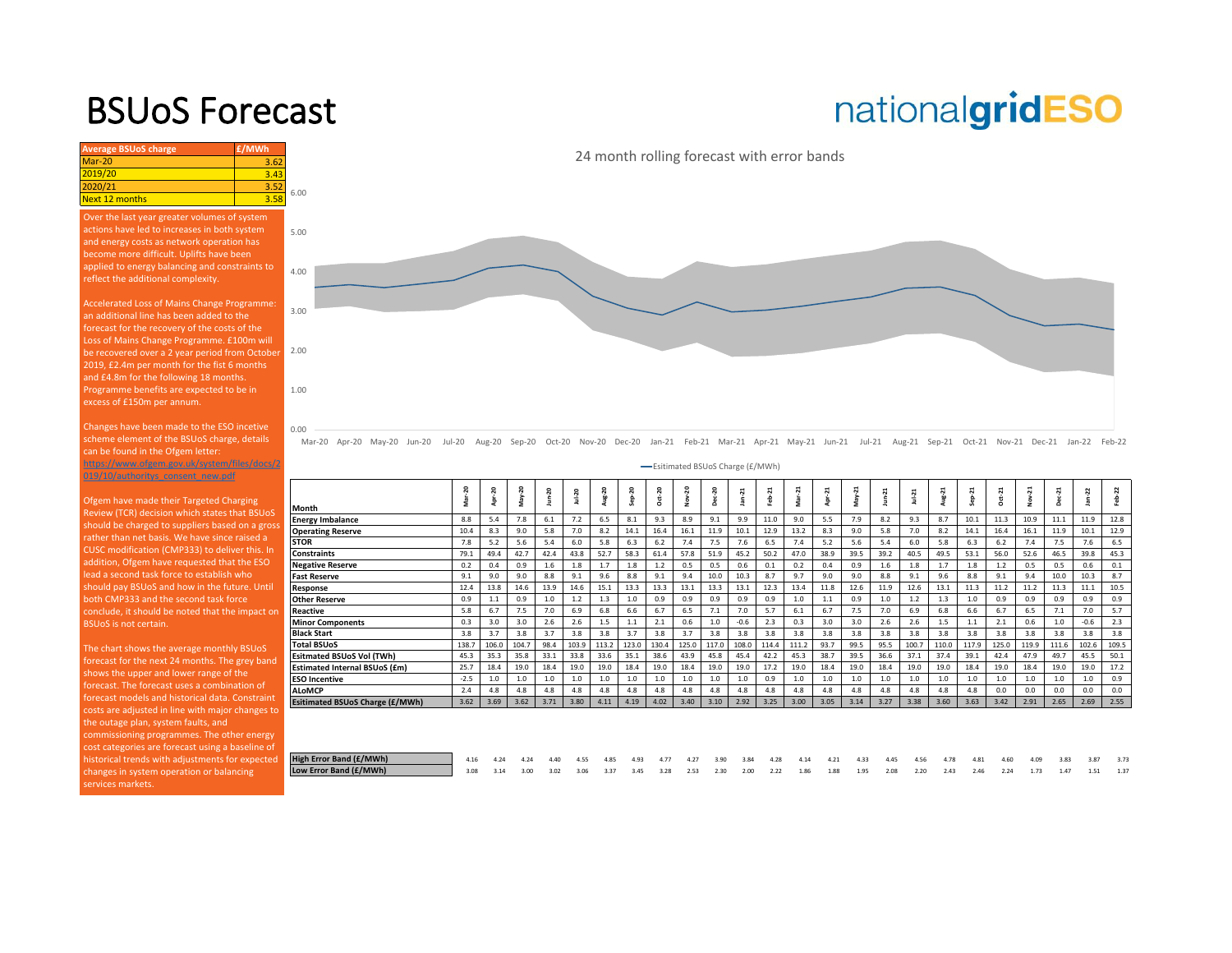### BSUoS Forecast

# nationalgridESO

| <b>Average BSUoS charge</b> | £/MWh            |      |
|-----------------------------|------------------|------|
| $Mar-20$                    | 3.62             |      |
| 2019/20                     | 3.43             |      |
| 2020/21                     | 3.52             | 6.00 |
| Next 12 months              | 3.5 <sub>i</sub> |      |

Over the last year greater volumes of system and energy costs as network operation has become more difficult. Uplifts have been applied to energy balancing and constraints to reflect the additional complexity.

Accelerated Loss of Mains Change Programme: an additional line has been added to the forecast for the recovery of the costs of the Loss of Mains Change Programme. £100m will [be recovered over a 2 year period from October](https://www.nationalgrideso.com/charging/balancing-services-use-system-bsuos-charges)  2019, £2.4m per month for the fist 6 months and £4.8m for the following 18 months. Programme benefits are expected to be in

Changes have been made to the ESO incetive scheme element of the BSUoS charge, details can be found in the Ofgem letter:

https://www.ofgem.gov.uk/system/files/docs/2 019/10/authoritys\_consent\_new.pdf

Ofgem have made their Targeted Charging Review (TCR) decision which states that BSUoS should be charged to suppliers based on a gross rather than net basis. We have since raised a CUSC modification (CMP333) to deliver this. In addition, Ofgem have requested that the ESO lead a second task force to establish who should pay BSUoS and how in the future. Until both CMP333 and the second task force

The chart shows the average monthly BSUoS forecast for the next 24 months. The grey band shows the upper and lower range of the forecast. The forecast uses a combination of forecast models and historical data. Constraint costs are adjusted in line with major changes to the outage plan, system faults, and commissioning programmes. The other energy cost categories are forecast using a baseline of historical trends with adjustments for expected changes in system operation or balancing services markets.

24 month rolling forecast with error bands



Mar-20 Apr-20 May-20 Jun-20 Jul-20 Aug-20 Sep-20 Oct-20 Nov-20 Dec-20 Jan-21 Feb-21 Mar-21 Apr-21 May-21 Jun-21 Jul-21 Aug-21 Sep-21 Oct-21 Nov-21 Dec-21 Jan-22 Feb-22

Esitimated BSUoS Charge (£/MWh)

| Month<br>8.8<br><b>Energy Imbalance</b><br>10.4<br><b>Operating Reserve</b> | 5.4   | 7.8   |      |       |       |       | ó     | Nov-  |       |        | 21<br>ė | Ņ<br>s | N    | May- | N    | $J = -11$ | $8 - 21$ | $\overline{a}$<br>ò | $ct-21$<br>Ő | ಸ<br>2 | ដ<br>å | ċ      | 2<br>읇 |
|-----------------------------------------------------------------------------|-------|-------|------|-------|-------|-------|-------|-------|-------|--------|---------|--------|------|------|------|-----------|----------|---------------------|--------------|--------|--------|--------|--------|
|                                                                             |       |       | 6.1  | 7.2   | 6.5   | 8.1   | 9.3   | 8.9   | 9.1   | 9.9    | 11.0    | 9.0    | 5.5  | 7.9  | 8.2  | 9.3       | 8.7      | 10.1                | 11.3         | 10.9   | 11.1   | 11.9   | 12.8   |
|                                                                             |       |       |      |       |       |       |       |       |       |        |         |        |      |      |      |           |          |                     |              |        |        |        |        |
|                                                                             | 8.3   | 9.0   | 5.8  | 7.0   | 8.2   | 14.1  | 16.4  | 16.1  | 11.9  | 10.1   | 12.9    | 13.2   | 8.3  | 9.0  | 5.8  | 7.0       | 8.2      | 14.1                | 16.4         | 16.1   | 11.9   | 10.1   | 12.9   |
| <b>STOR</b><br>7.8                                                          | 5.2   | 5.6   | 5.4  | 6.0   | 5.8   | 6.3   | 6.2   | 7.4   | 7.5   | 7.6    | 6.5     | 7.4    | 5.2  | 5.6  | 5.4  | 6.0       | 5.8      | 6.3                 | 6.2          | 7.4    | 7.5    | 7.6    | 6.5    |
| <b>Constraints</b><br>79.1                                                  | 49.4  | 42.7  | 42.4 | 43.8  | 52.7  | 58.3  | 61.4  | 57.8  | 51.9  | 45.2   | 50.2    | 47.0   | 38.9 | 39.5 | 39.2 | 40.5      | 49.5     | 53.1                | 56.0         | 52.6   | 46.5   | 39.8   | 45.3   |
| 0.2<br><b>Negative Reserve</b>                                              | 0.4   | 0.9   | 1.6  | 1.8   | 1.7   | 1.8   | 1.2   | 0.5   | 0.5   | 0.6    | 0.1     | 0.2    | 0.4  | 0.9  | 1.6  | 1.8       | 1.7      | 1.8                 | 1.2          | 0.5    | 0.5    | 0.6    | 0.1    |
| <b>Fast Reserve</b><br>9.1                                                  | 9.0   | 9.0   | 8.8  | 9.1   | 9.6   | 8.8   | 9.1   | 9.4   | 10.0  | 10.3   | 8.7     | 9.7    | 9.0  | 9.0  | 8.8  | 9.1       | 9.6      | 8.8                 | 9.1          | 9.4    | 10.0   | 10.3   | 8.7    |
| 12.4<br>Response                                                            | 13.8  | 14.6  | 13.9 | 14.6  | 15.1  | 13.3  | 13.3  | 13.1  | 13.3  | 13.1   | 12.3    | 13.4   | 11.8 | 12.6 | 11.9 | 12.6      | 13.1     | 11.3                | 11.2         | 11.2   | 11.3   | 11.1   | 10.5   |
| 0.9<br><b>Other Reserve</b>                                                 | 1.1   | 0.9   | 1.0  | 1.2   | 1.3   | 1.0   | 0.9   | 0.9   | 0.9   | 0.9    | 0.9     | 1.0    | 1.1  | 0.9  | 1.0  | 1.2       | 1.3      | 1.0                 | 0.9          | 0.9    | 0.9    | 0.9    | 0.9    |
| 5.8<br>Reactive                                                             | 6.7   | 7.5   | 7.0  | 6.9   | 6.8   | 6.6   | 6.7   | 6.5   | 7.1   | 7.0    | 5.7     | 6.1    | 6.7  | 7.5  | 7.0  | 6.9       | 6.8      | 6.6                 | 6.7          | 6.5    | 7.1    | 7.0    | 5.7    |
| 0.3<br><b>Minor Components</b>                                              | 3.0   | 3.0   | 2.6  | 2.6   | 1.5   | 1.1   | 2.1   | 0.6   | 1.0   | $-0.6$ | 2.3     | 0.3    | 3.0  | 3.0  | 2.6  | 2.6       | 1.5      | 1.1                 | 2.1          | 0.6    | 1.0    | $-0.6$ | 2.3    |
| <b>Black Start</b><br>3.8                                                   | 3.7   | 3.8   | 3.7  | 3.8   | 3.8   | 3.7   | 3.8   | 3.7   | 3.8   | 3.8    | 3.8     | 3.8    | 3.8  | 3.8  | 3.8  | 3.8       | 3.8      | 3.8                 | 3.8          | 3.8    | 3.8    | 3.8    | 3.8    |
| 138.7<br><b>Total BSUoS</b>                                                 | 106.0 | 104.7 | 98.4 | 103.9 | 113.2 | 123.0 | 130.4 | 125.0 | 117.0 | 108.0  | 114.4   | 111.2  | 93.7 | 99.5 | 95.5 | 100.7     | 110.0    | 117.9               | 125.0        | 119.9  | 111.6  | 102.6  | 109.5  |
| <b>Esitmated BSUoS Vol (TWh)</b><br>45.3                                    | 35.3  | 35.8  | 33.1 | 33.8  | 33.6  | 35.1  | 38.6  | 43.9  | 45.8  | 45.4   | 42.2    | 45.3   | 38.7 | 39.5 | 36.6 | 37.1      | 37.4     | 39.1                | 42.4         | 47.9   | 49.7   | 45.5   | 50.1   |
| 25.7<br><b>Estimated Internal BSUoS (£m)</b>                                | 18.4  | 19.0  | 18.4 | 19.0  | 19.0  | 18.4  | 19.0  | 18.4  | 19.0  | 19.0   | 17.2    | 19.0   | 18.4 | 19.0 | 18.4 | 19.0      | 19.0     | 18.4                | 19.0         | 18.4   | 19.0   | 19.0   | 17.2   |
| $-2.5$<br><b>ESO Incentive</b>                                              | 1.0   | 1.0   | 1.0  | 1.0   | 1.0   | 1.0   | 1.0   | 1.0   | 1.0   | 1.0    | 0.9     | 1.0    | 1.0  | 1.0  | 1.0  | 1.0       | 1.0      | 1.0                 | 1.0          | 1.0    | 1.0    | 1.0    | 0.9    |
| <b>ALoMCP</b><br>2.4                                                        | 4.8   | 4.8   | 4.8  | 4.8   | 4.8   | 4.8   | 4.8   | 4.8   | 4.8   | 4.8    | 4.8     | 4.8    | 4.8  | 4.8  | 4.8  | 4.8       | 4.8      | 4.8                 | 0.0          | 0.0    | 0.0    | 0.0    | 0.0    |
| 3.62<br><b>Esitimated BSUoS Charge (£/MWh)</b>                              | 3.69  | 3.62  | 3.71 | 3.80  | 4.11  | 4.19  | 4.02  | 3.40  | 3.10  | 2.92   | 3.25    | 3.00   | 3.05 | 3.14 | 3.27 | 3.38      | 3.60     | 3.63                | 3.42         | 2.91   | 2.65   | 2.69   | 2.55   |

| High Error Band (£/MWh) | 4.16 | 4.24 | 4.24 | 4.40 | 4.55      | 4.85 | 4.93 | 4.77 | 4.27                | 3.90 |                |           | $2, 3.84$ 4.28 4.14 | 4.21 | 4.33 4.45 4.56 | 4.78 4.81 4.60 |  | 4.09 | 3.83 | 3.87 3.73 |  |
|-------------------------|------|------|------|------|-----------|------|------|------|---------------------|------|----------------|-----------|---------------------|------|----------------|----------------|--|------|------|-----------|--|
| Low Error Band (£/MWh)  | 3.08 | 3.14 | 3.00 |      | 3.02 3.06 |      |      |      | 3.37 3.45 3.28 2.53 | 2.30 | $2.00 \t 2.00$ | 2.22 1.86 |                     | 1.88 | 1.95 2.08 2.20 | 2.43 2.46 2.24 |  | 1.73 | 1.47 | 1.51 1.37 |  |